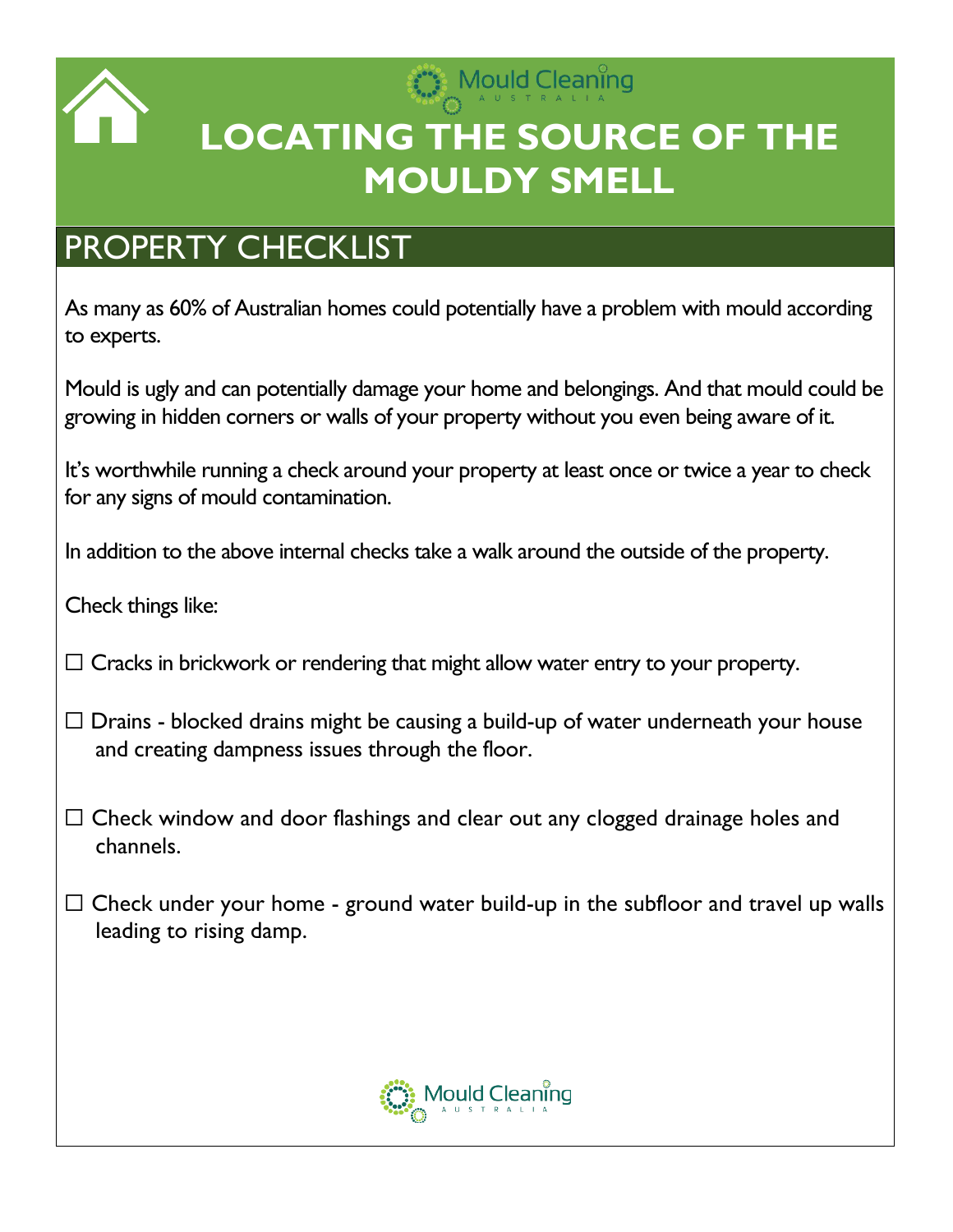

## Mould Cleaning **LOCATING THE SOURCE OF THE MOULDY SMELL**

## PROPERTY CHECKLIST

As many as 60% of Australian homes could potentially have a problem with mould according to experts.

Mould is ugly and can potentially damage your home and belongings. And that mould could be growing in hidden corners or walls of your property without you even being aware of it.

It's worthwhile running a check around your property at least once or twice a year to check for any signs of mould contamination.

In addition to the above internal checks take a walk around the outside of the property.

Check things like:

 $\Box$  Cracks in brickwork or rendering that might allow water entry to your property.

- $\Box$  Drains blocked drains might be causing a build-up of water underneath your house and creating dampness issues through the floor.
- $\Box$  Check window and door flashings and clear out any clogged drainage holes and channels.
- $\Box$  Check under your home ground water build-up in the subfloor and travel up walls leading to rising damp.